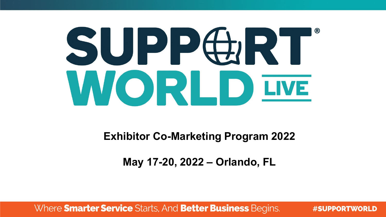# SUPPGRT WORLD IWE

**Exhibitor Co-Marketing Program 2022**

**May 17-20, 2022 – Orlando, FL**

Where **Smarter Service** Starts, And **Better Business** Begins.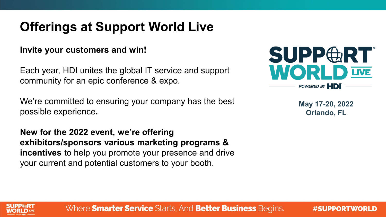# **Offerings at Support World Live**

#### **Invite your customers and win!**

Each year, HDI unites the global IT service and support community for an epic conference & expo.

We're committed to ensuring your company has the best possible experience**.** 

**New for the 2022 event, we're offering exhibitors/sponsors various marketing programs & incentives** to help you promote your presence and drive your current and potential customers to your booth.



**May 17-20, 2022 Orlando, FL**



Where **Smarter Service** Starts, And **Better Business** Begins.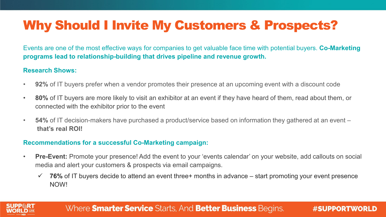# Why Should I Invite My Customers & Prospects?

Events are one of the most effective ways for companies to get valuable face time with potential buyers. **Co-Marketing programs lead to relationship-building that drives pipeline and revenue growth.**

#### **Research Shows:**

- **92%** of IT buyers prefer when a vendor promotes their presence at an upcoming event with a discount code
- **80%** of IT buyers are more likely to visit an exhibitor at an event if they have heard of them, read about them, or connected with the exhibitor prior to the event
- **54%** of IT decision-makers have purchased a product/service based on information they gathered at an event **that's real ROI!**

#### **Recommendations for a successful Co-Marketing campaign:**

- **Pre-Event:** Promote your presence! Add the event to your 'events calendar' on your website, add callouts on social media and alert your customers & prospects via email campaigns.
	- $\checkmark$  **76%** of IT buyers decide to attend an event three+ months in advance start promoting your event presence NOW!



#### Where **Smarter Service** Starts, And **Better Business** Begins.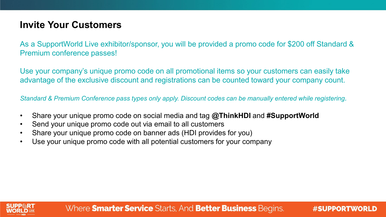## **Invite Your Customers**

As a SupportWorld Live exhibitor/sponsor, you will be provided a promo code for \$200 off Standard & Premium conference passes!

Use your company's unique promo code on all promotional items so your customers can easily take advantage of the exclusive discount and registrations can be counted toward your company count.

*Standard & Premium Conference pass types only apply. Discount codes can be manually entered while registering.*

- Share your unique promo code on social media and tag **@ThinkHDI** and **#SupportWorld**
- Send your unique promo code out via email to all customers
- Share your unique promo code on banner ads (HDI provides for you)
- Use your unique promo code with all potential customers for your company

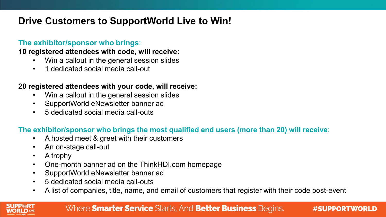## **Drive Customers to SupportWorld Live to Win!**

#### **The exhibitor/sponsor who brings**:

#### **10 registered attendees with code, will receive:**

- Win a callout in the general session slides
- 1 dedicated social media call-out

#### **20 registered attendees with your code, will receive:**

- Win a callout in the general session slides
- SupportWorld eNewsletter banner ad
- 5 dedicated social media call-outs

#### **The exhibitor/sponsor who brings the most qualified end users (more than 20) will receive**:

- A hosted meet & greet with their customers
- An on-stage call-out
- A trophy
- One-month banner ad on the ThinkHDI.com homepage
- SupportWorld eNewsletter banner ad
- 5 dedicated social media call-outs
- A list of companies, title, name, and email of customers that register with their code post-event

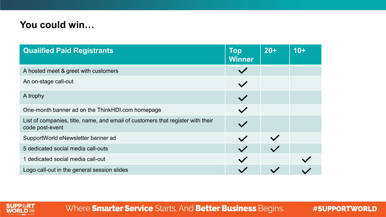## **You could win…**

| <b>Qualified Paid Registrants</b>                                                                  | <b>Top</b><br><b>Winner</b> | $20+$ | $10+$ |
|----------------------------------------------------------------------------------------------------|-----------------------------|-------|-------|
| A hosted meet & greet with customers                                                               |                             |       |       |
| An on-stage call-out                                                                               |                             |       |       |
| A trophy                                                                                           |                             |       |       |
| One-month banner ad on the ThinkHDI.com homepage                                                   |                             |       |       |
| List of companies, title, name, and email of customers that register with their<br>code post-event |                             |       |       |
| SupportWorld eNewsletter banner ad                                                                 |                             |       |       |
| 5 dedicated social media call-outs                                                                 |                             |       |       |
| 1 dedicated social media call-out                                                                  |                             |       |       |
| Logo call-out in the general session slides                                                        |                             |       |       |



Where Smarter Service Starts, And Better Business Begins.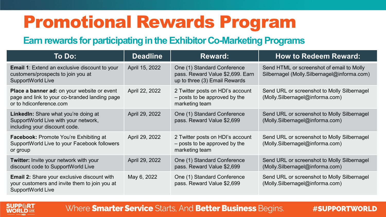# Promotional Rewards Program

## **Earn rewards for participating in the Exhibitor Co-Marketing Programs**

| To Do:                                                                                                                   | <b>Deadline</b> | <b>Reward:</b>                                                                                   | <b>How to Redeem Reward:</b>                                                             |  |
|--------------------------------------------------------------------------------------------------------------------------|-----------------|--------------------------------------------------------------------------------------------------|------------------------------------------------------------------------------------------|--|
| <b>Email 1:</b> Extend an exclusive discount to your<br>customers/prospects to join you at<br>SupportWorld Live          | April 15, 2022  | One (1) Standard Conference<br>pass. Reward Value \$2,699. Earn<br>up to three (3) Email Rewards | Send HTML or screenshot of email to Molly<br>Silbernagel (Molly.Silbernagel@informa.com) |  |
| Place a banner ad: on your website or event<br>page and link to your co-branded landing page<br>or to hdiconference.com  | April 22, 2022  | 2 Twitter posts on HDI's account<br>- posts to be approved by the<br>marketing team              | Send URL or screenshot to Molly Silbernagel<br>(Molly.Silbernagel@informa.com)           |  |
| LinkedIn: Share what you're doing at<br>SupportWorld Live with your network,<br>including your discount code.            | April 29, 2022  | One (1) Standard Conference<br>pass. Reward Value \$2,699                                        | Send URL or screenshot to Molly Silbernagel<br>(Molly.Silbernagel@informa.com)           |  |
| <b>Facebook: Promote You're Exhibiting at</b><br>SupportWorld Live to your Facebook followers<br>or group                | April 29, 2022  | 2 Twitter posts on HDI's account<br>- posts to be approved by the<br>marketing team              | Send URL or screenshot to Molly Silbernagel<br>(Molly.Silbernagel@informa.com)           |  |
| Twitter: Invite your network with your<br>discount code to SupportWorld Live                                             | April 29, 2022  | One (1) Standard Conference<br>pass. Reward Value \$2,699                                        | Send URL or screenshot to Molly Silbernagel<br>(Molly.Silbernagel@informa.com)           |  |
| <b>Email 2:</b> Share your exclusive discount with<br>your customers and invite them to join you at<br>SupportWorld Live | May 6, 2022     | One (1) Standard Conference<br>pass. Reward Value \$2,699                                        | Send URL or screenshot to Molly Silbernagel<br>(Molly.Silbernagel@informa.com)           |  |



#### Where **Smarter Service** Starts, And **Better Business** Begins.